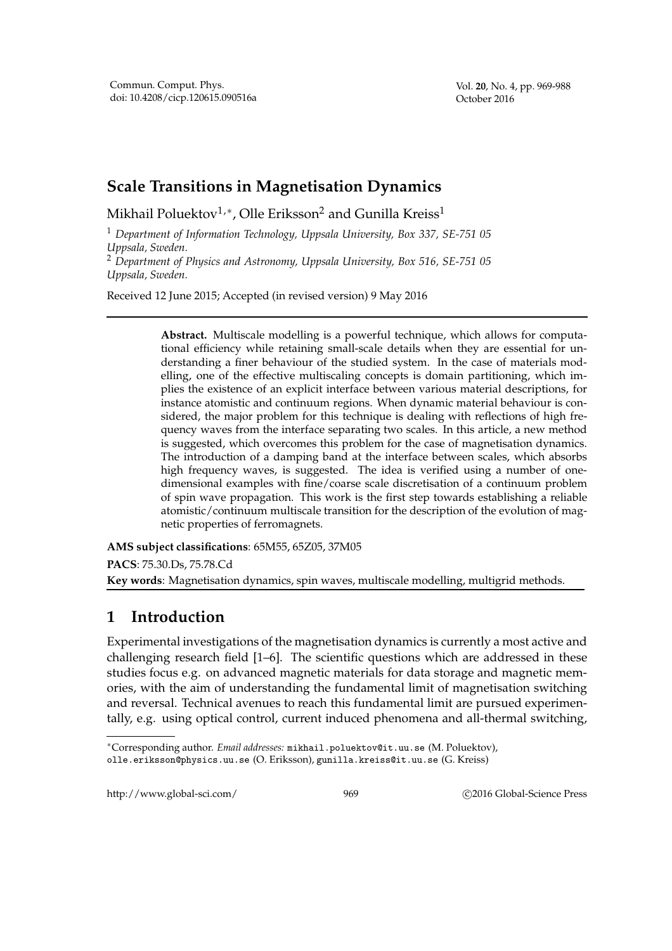Vol. **20**, No. 4, pp. 969-988 October 2016

## **Scale Transitions in Magnetisation Dynamics**

Mikhail Poluektov $^{1,\ast}$ , Olle Eriksson $^2$  and Gunilla Kreiss $^1$ 

<sup>1</sup> *Department of Information Technology, Uppsala University, Box 337, SE-751 05 Uppsala, Sweden.*

<sup>2</sup> *Department of Physics and Astronomy, Uppsala University, Box 516, SE-751 05 Uppsala, Sweden.*

Received 12 June 2015; Accepted (in revised version) 9 May 2016

**Abstract.** Multiscale modelling is a powerful technique, which allows for computational efficiency while retaining small-scale details when they are essential for understanding a finer behaviour of the studied system. In the case of materials modelling, one of the effective multiscaling concepts is domain partitioning, which implies the existence of an explicit interface between various material descriptions, for instance atomistic and continuum regions. When dynamic material behaviour is considered, the major problem for this technique is dealing with reflections of high frequency waves from the interface separating two scales. In this article, a new method is suggested, which overcomes this problem for the case of magnetisation dynamics. The introduction of a damping band at the interface between scales, which absorbs high frequency waves, is suggested. The idea is verified using a number of onedimensional examples with fine/coarse scale discretisation of a continuum problem of spin wave propagation. This work is the first step towards establishing a reliable atomistic/continuum multiscale transition for the description of the evolution of magnetic properties of ferromagnets.

**AMS subject classifications**: 65M55, 65Z05, 37M05 **PACS**: 75.30.Ds, 75.78.Cd

## **Key words**: Magnetisation dynamics, spin waves, multiscale modelling, multigrid methods.

## **1 Introduction**

Experimental investigations of the magnetisation dynamics is currently a most active and challenging research field [1–6]. The scientific questions which are addressed in these studies focus e.g. on advanced magnetic materials for data storage and magnetic memories, with the aim of understanding the fundamental limit of magnetisation switching and reversal. Technical avenues to reach this fundamental limit are pursued experimentally, e.g. using optical control, current induced phenomena and all-thermal switching,

http://www.global-sci.com/ 969 c 2016 Global-Science Press

<sup>∗</sup>Corresponding author. *Email addresses:* mikhail.poluektov@it.uu.se (M. Poluektov),

olle.eriksson@physics.uu.se (O. Eriksson), gunilla.kreiss@it.uu.se (G. Kreiss)